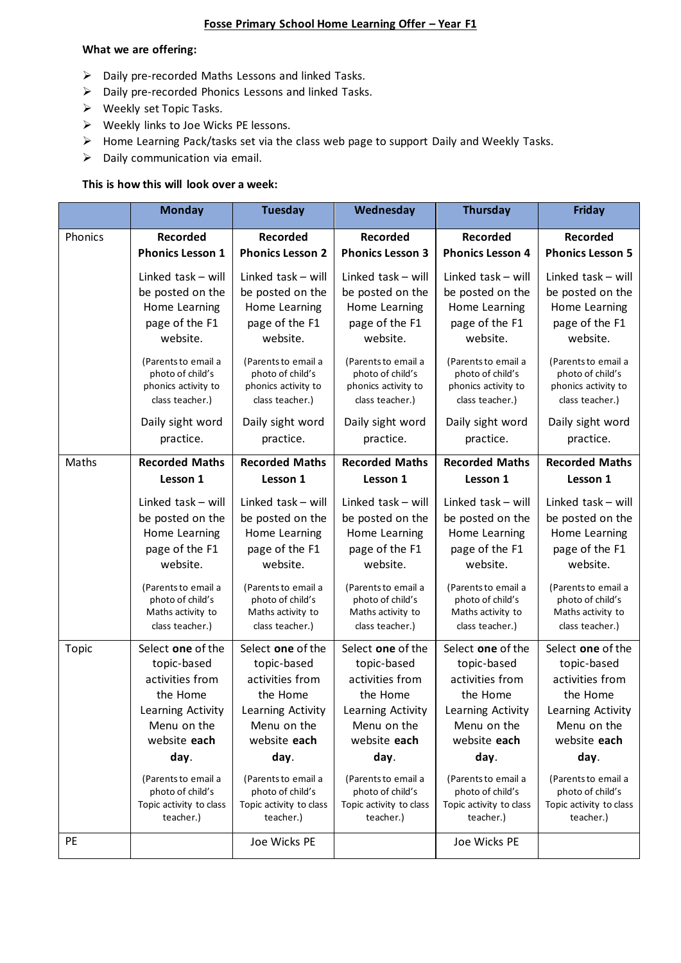## **Fosse Primary School Home Learning Offer – Year F1**

#### **What we are offering:**

- ➢ Daily pre-recorded Maths Lessons and linked Tasks.
- ➢ Daily pre-recorded Phonics Lessons and linked Tasks.
- ➢ Weekly set Topic Tasks.
- ➢ Weekly links to Joe Wicks PE lessons.
- ➢ Home Learning Pack/tasks set via the class web page to support Daily and Weekly Tasks.
- $\triangleright$  Daily communication via email.

## **This is how this will look over a week:**

|           | <b>Monday</b>                               | <b>Tuesday</b>                              | Wednesday                                   | <b>Thursday</b>                             | Friday                                      |
|-----------|---------------------------------------------|---------------------------------------------|---------------------------------------------|---------------------------------------------|---------------------------------------------|
| Phonics   | <b>Recorded</b>                             | <b>Recorded</b>                             | <b>Recorded</b>                             | <b>Recorded</b>                             | <b>Recorded</b>                             |
|           | <b>Phonics Lesson 1</b>                     | <b>Phonics Lesson 2</b>                     | <b>Phonics Lesson 3</b>                     | <b>Phonics Lesson 4</b>                     | <b>Phonics Lesson 5</b>                     |
|           | Linked task - will                          | Linked task - will                          | Linked task - will                          | Linked task - will                          | Linked task - will                          |
|           | be posted on the                            | be posted on the                            | be posted on the                            | be posted on the                            | be posted on the                            |
|           | Home Learning                               | Home Learning                               | Home Learning                               | Home Learning                               | Home Learning                               |
|           | page of the F1                              | page of the F1                              | page of the F1                              | page of the F1                              | page of the F1                              |
|           | website.                                    | website.                                    | website.                                    | website.                                    | website.                                    |
|           | (Parents to email a                         | (Parents to email a                         | (Parents to email a                         | (Parents to email a                         | (Parents to email a                         |
|           | photo of child's                            | photo of child's                            | photo of child's                            | photo of child's                            | photo of child's                            |
|           | phonics activity to<br>class teacher.)      | phonics activity to<br>class teacher.)      | phonics activity to<br>class teacher.)      | phonics activity to<br>class teacher.)      | phonics activity to<br>class teacher.)      |
|           |                                             |                                             |                                             |                                             |                                             |
|           | Daily sight word                            | Daily sight word                            | Daily sight word                            | Daily sight word                            | Daily sight word                            |
|           | practice.                                   | practice.                                   | practice.                                   | practice.                                   | practice.                                   |
| Maths     | <b>Recorded Maths</b>                       | <b>Recorded Maths</b>                       | <b>Recorded Maths</b>                       | <b>Recorded Maths</b>                       | <b>Recorded Maths</b>                       |
|           | Lesson 1                                    | Lesson 1                                    | Lesson 1                                    | Lesson 1                                    | Lesson 1                                    |
|           | Linked task - will                          | Linked task - will                          | Linked task - will                          | Linked task - will                          | Linked task - will                          |
|           | be posted on the                            | be posted on the                            | be posted on the                            | be posted on the                            | be posted on the                            |
|           | Home Learning                               | Home Learning                               | Home Learning                               | Home Learning                               | Home Learning                               |
|           | page of the F1                              | page of the F1                              | page of the F1                              | page of the F1                              | page of the F1                              |
|           | website.                                    | website.                                    | website.                                    | website.                                    | website.                                    |
|           | (Parents to email a                         | (Parents to email a                         | (Parents to email a                         | (Parents to email a                         | (Parents to email a                         |
|           | photo of child's                            | photo of child's                            | photo of child's                            | photo of child's                            | photo of child's                            |
|           | Maths activity to                           | Maths activity to                           | Maths activity to                           | Maths activity to                           | Maths activity to                           |
|           | class teacher.)                             | class teacher.)                             | class teacher.)                             | class teacher.)                             | class teacher.)                             |
| Topic     | Select one of the                           | Select one of the                           | Select one of the                           | Select one of the                           | Select one of the                           |
|           | topic-based                                 | topic-based                                 | topic-based                                 | topic-based                                 | topic-based                                 |
|           | activities from                             | activities from                             | activities from                             | activities from                             | activities from                             |
|           | the Home                                    | the Home                                    | the Home                                    | the Home                                    | the Home                                    |
|           | Learning Activity                           | Learning Activity                           | Learning Activity                           | Learning Activity                           | Learning Activity                           |
|           | Menu on the                                 | Menu on the                                 | Menu on the                                 | Menu on the                                 | Menu on the                                 |
|           | website each                                | website each                                | website each                                | website each                                | website each                                |
|           | day.                                        | day.                                        | day.                                        | day.                                        | day.                                        |
|           | (Parents to email a                         | (Parents to email a                         | (Parents to email a                         | (Parents to email a                         | (Parents to email a                         |
|           | photo of child's<br>Topic activity to class | photo of child's<br>Topic activity to class | photo of child's<br>Topic activity to class | photo of child's<br>Topic activity to class | photo of child's<br>Topic activity to class |
|           | teacher.)                                   | teacher.)                                   | teacher.)                                   | teacher.)                                   | teacher.)                                   |
| <b>PE</b> |                                             |                                             |                                             |                                             |                                             |
|           |                                             | Joe Wicks PE                                |                                             | Joe Wicks PE                                |                                             |